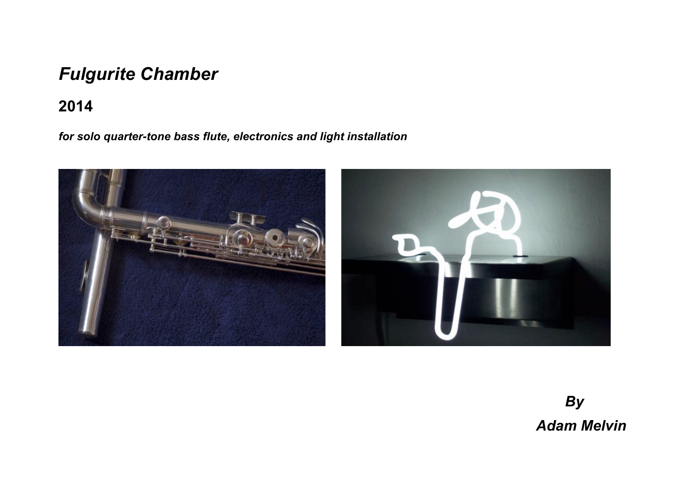## *Fulgurite Chamber*

**2014**

*for solo quarter-tone bass flute, electronics and light installation* 



 *By Adam Melvin*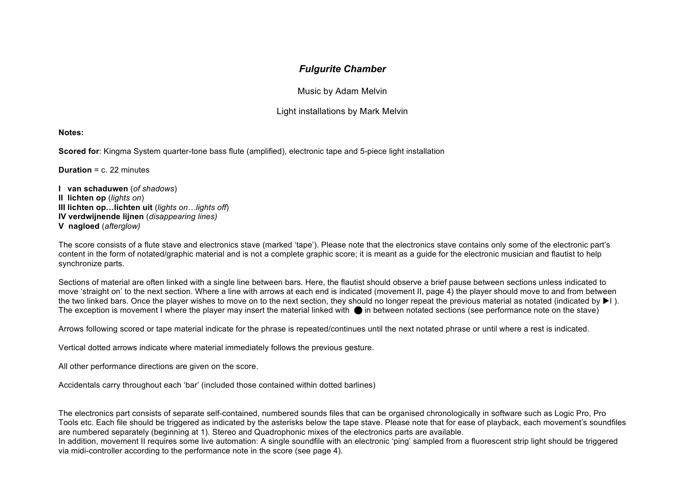## *Fulgurite Chamber*

Music by Adam Melvin

Light installations by Mark Melvin

**Notes:**

**Scored for**: Kingma System quarter-tone bass flute (amplified), electronic tape and 5-piece light installation

**Duration** = c. 22 minutes

**I van schaduwen** (*of shadows*) **II lichten op** (*lights on*) **III lichten op…lichten uit** (*lights on…lights off*) **IV verdwijnende lijnen** (*disappearing lines)* **V nagloed** (*afterglow)*

The score consists of a flute stave and electronics stave (marked 'tape'). Please note that the electronics stave contains only some of the electronic part's content in the form of notated/graphic material and is not a complete graphic score; it is meant as a guide for the electronic musician and flautist to help synchronize parts.

Sections of material are often linked with a single line between bars. Here, the flautist should observe a brief pause between sections unless indicated to move 'straight on' to the next section. Where a line with arrows at each end is indicated (movement II, page 4) the player should move to and from between the two linked bars. Once the player wishes to move on to the next section, they should no longer repeat the previous material as notated (indicated by  $\blacktriangleright$ ). The exception is movement I where the player may insert the material linked with  $\bullet$  in between notated sections (see performance note on the stave)

Arrows following scored or tape material indicate for the phrase is repeated/continues until the next notated phrase or until where a rest is indicated.

Vertical dotted arrows indicate where material immediately follows the previous gesture.

All other performance directions are given on the score.

Accidentals carry throughout each 'bar' (included those contained within dotted barlines)

The electronics part consists of separate self-contained, numbered sounds files that can be organised chronologically in software such as Logic Pro, Pro Tools etc. Each file should be triggered as indicated by the asterisks below the tape stave. Please note that for ease of playback, each movement's soundfiles are numbered separately (beginning at 1). Stereo and Quadrophonic mixes of the electronics parts are available.

In addition, movement II requires some live automation: A single soundfile with an electronic 'ping' sampled from a fluorescent strip light should be triggered via midi-controller according to the performance note in the score (see page 4).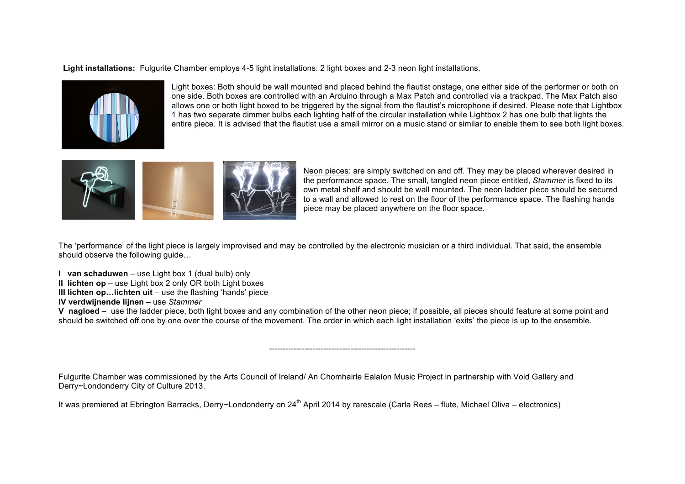**Light installations:** Fulgurite Chamber employs 4-5 light installations: 2 light boxes and 2-3 neon light installations.



Light boxes: Both should be wall mounted and placed behind the flautist onstage, one either side of the performer or both on one side. Both boxes are controlled with an Arduino through a Max Patch and controlled via a trackpad. The Max Patch also allows one or both light boxed to be triggered by the signal from the flautist's microphone if desired. Please note that Lightbox 1 has two separate dimmer bulbs each lighting half of the circular installation while Lightbox 2 has one bulb that lights the entire piece. It is advised that the flautist use a small mirror on a music stand or similar to enable them to see both light boxes.



Neon pieces: are simply switched on and off. They may be placed wherever desired in the performance space. The small, tangled neon piece entitled, *Stammer* is fixed to its own metal shelf and should be wall mounted. The neon ladder piece should be secured to a wall and allowed to rest on the floor of the performance space. The flashing hands piece may be placed anywhere on the floor space.

The 'performance' of the light piece is largely improvised and may be controlled by the electronic musician or a third individual. That said, the ensemble should observe the following guide…

**I van schaduwen** – use Light box 1 (dual bulb) only

**II lichten op** – use Light box 2 only OR both Light boxes

**III lichten op...lichten uit** – use the flashing 'hands' piece

**IV verdwijnende lijnen** – use *Stammer*

**V nagloed** – use the ladder piece, both light boxes and any combination of the other neon piece; if possible, all pieces should feature at some point and should be switched off one by one over the course of the movement. The order in which each light installation 'exits' the piece is up to the ensemble.

------------------------------------------------------

Fulgurite Chamber was commissioned by the Arts Council of Ireland/ An Chomhairle Ealaíon Music Project in partnership with Void Gallery and Derry~Londonderry City of Culture 2013.

It was premiered at Ebrington Barracks, Derry~Londonderry on 24<sup>th</sup> April 2014 by rarescale (Carla Rees – flute, Michael Oliva – electronics)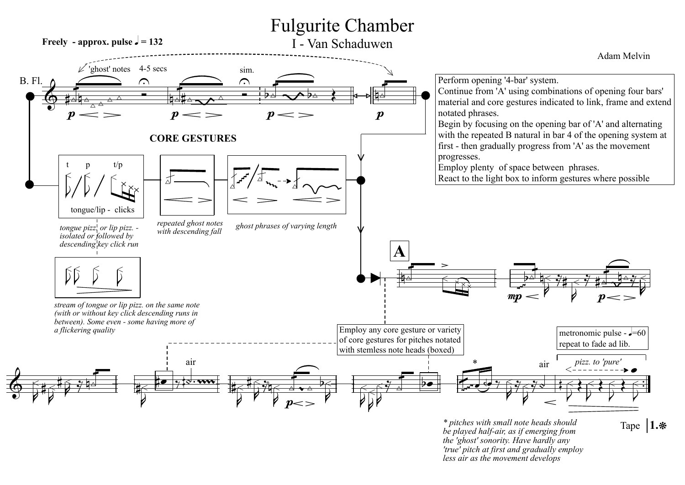Fulgurite Chamber



*\* pitches with small note heads should be played half-air, as if emerging from the 'ghost' sonority. Have hardly any 'true' pitch at first and gradually employ less air as the movement develops*

Tape

**1.**\*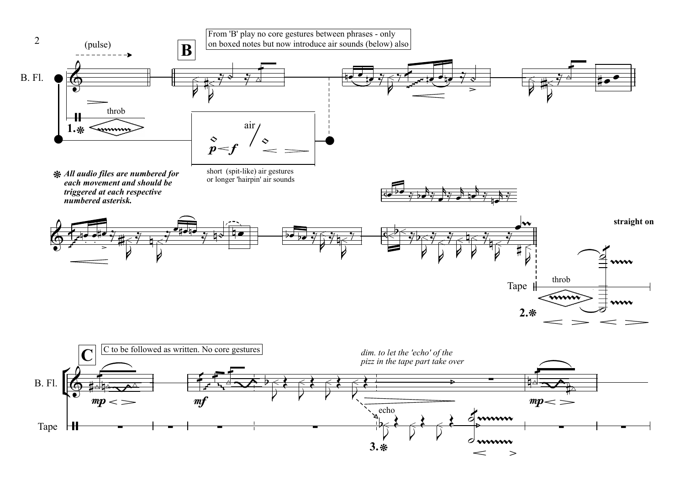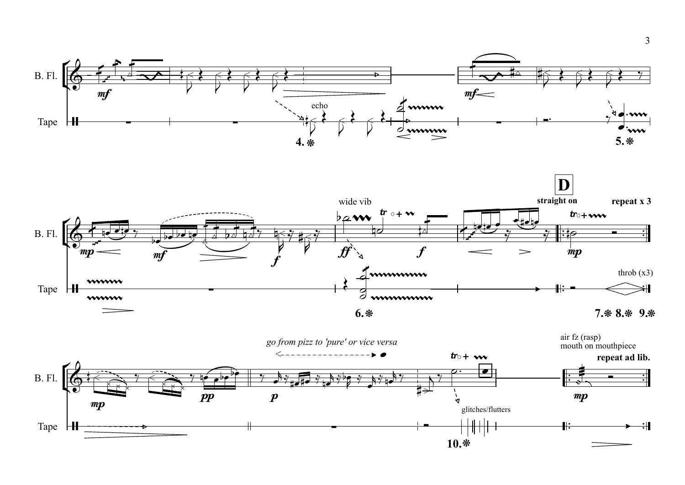

 $10.*$ 

 $\overline{3}$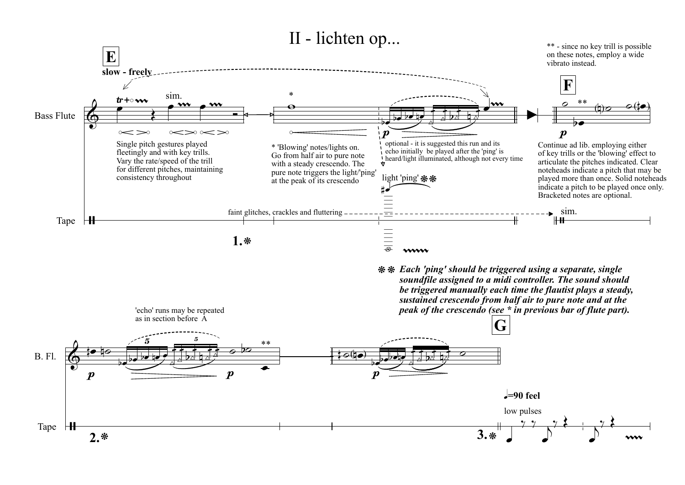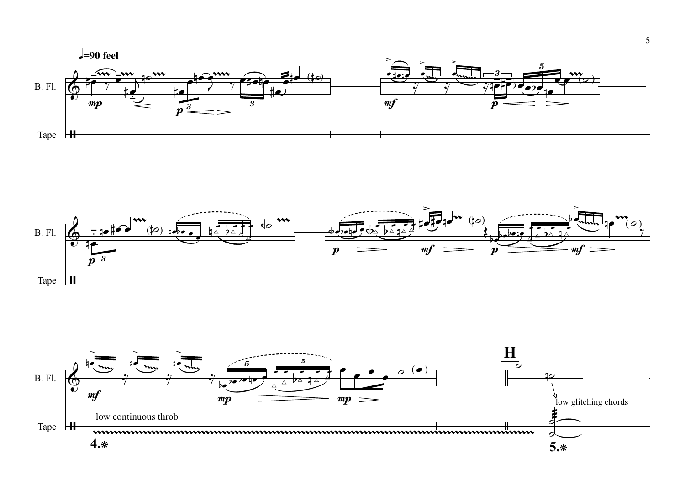



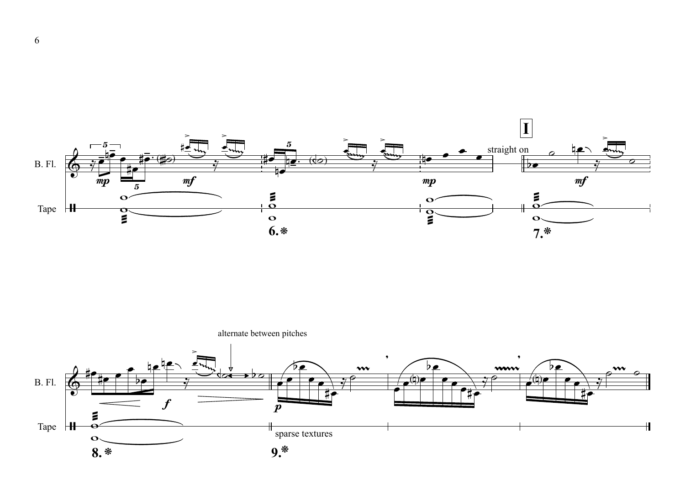

alternate between pitches

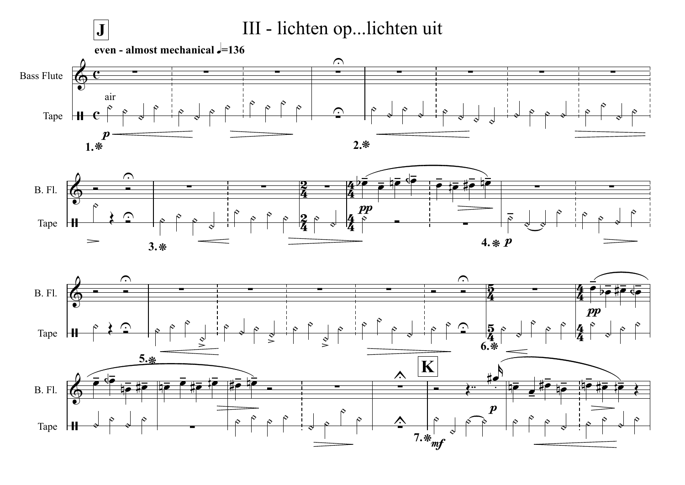## III - lichten op...lichten uit

 $\overline{\mathbf{J}}$ 





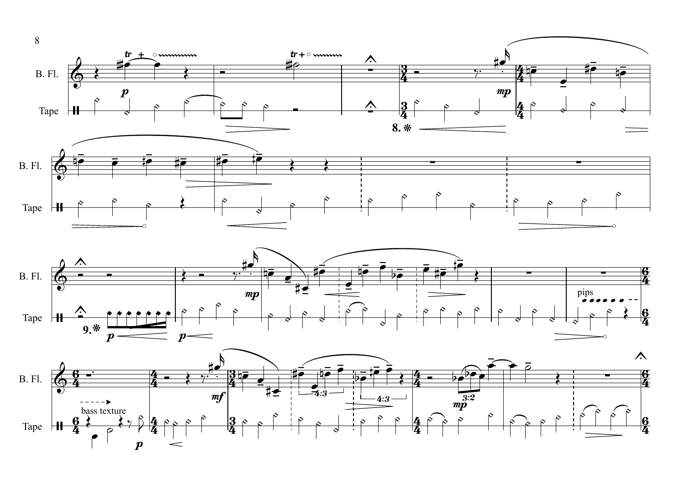



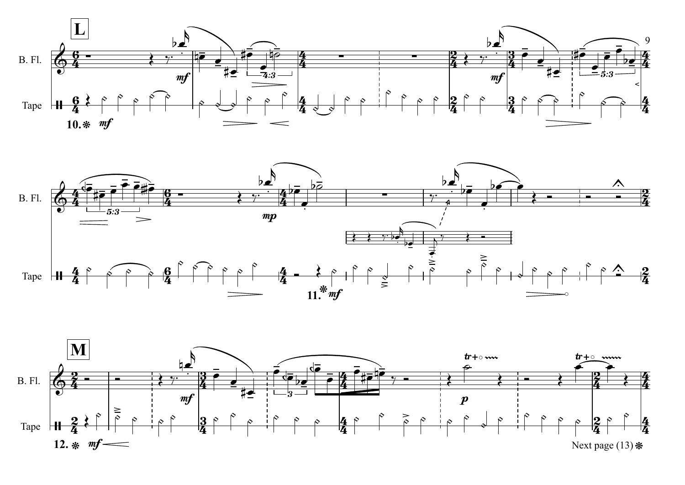



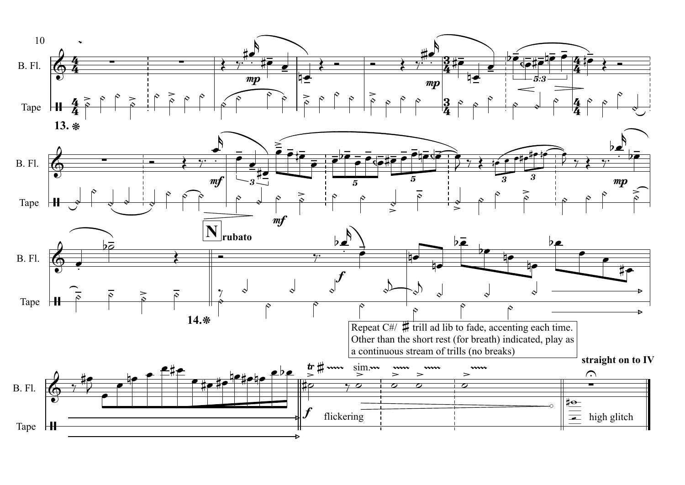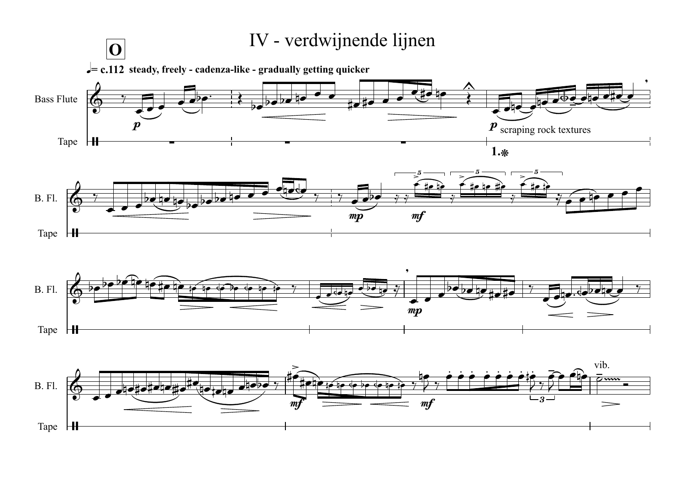

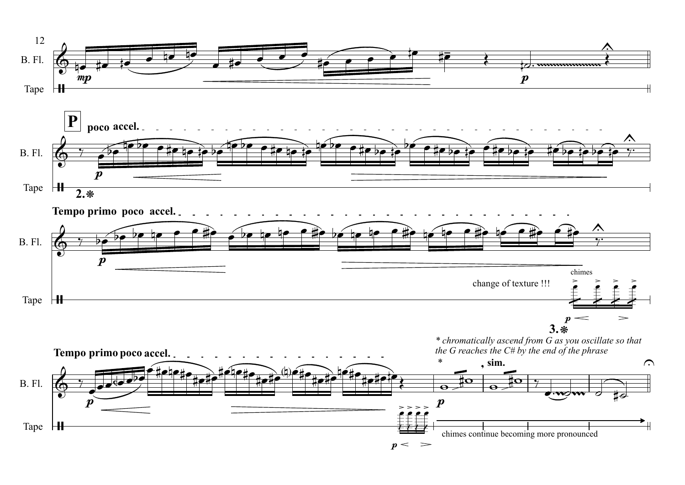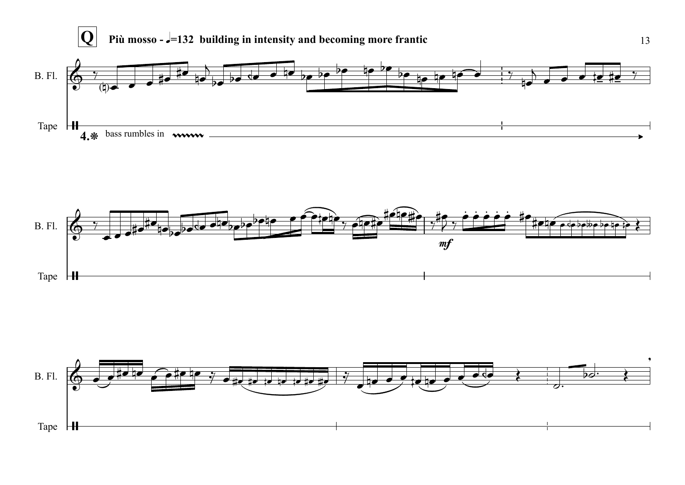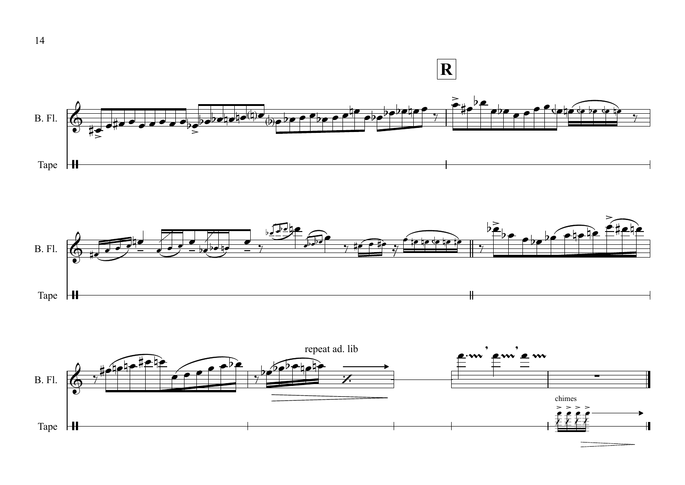

 $|\mathbf{R}|$ 





 $14$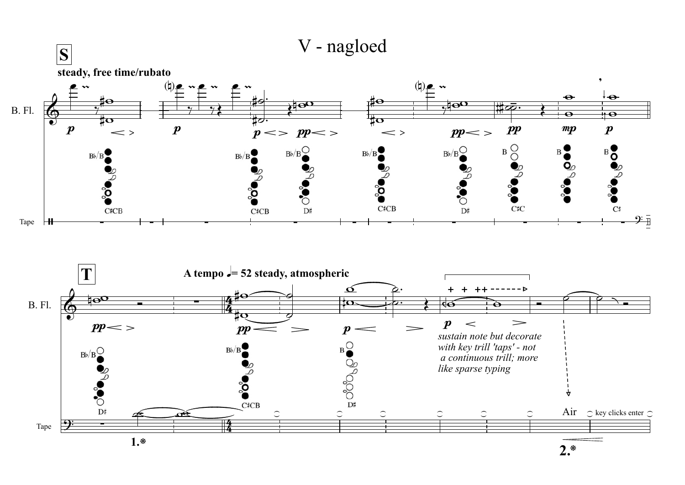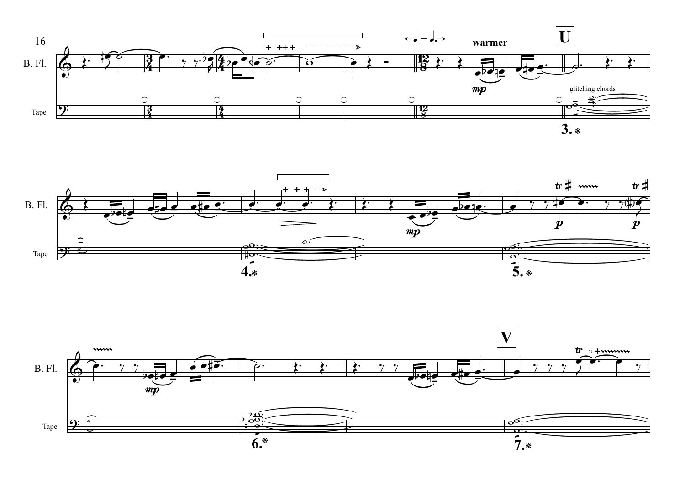



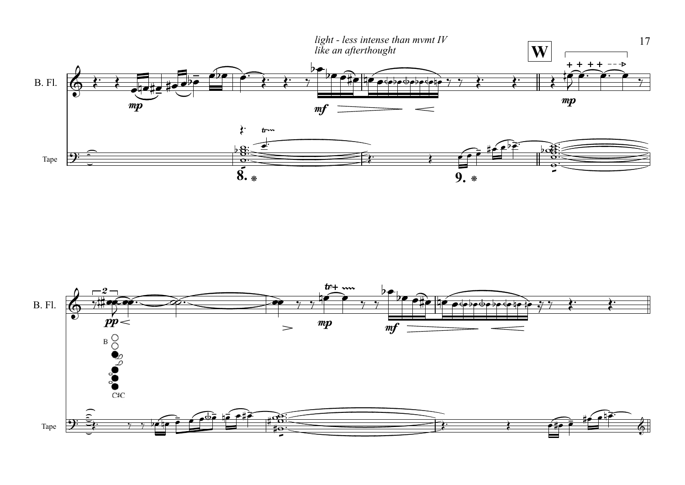

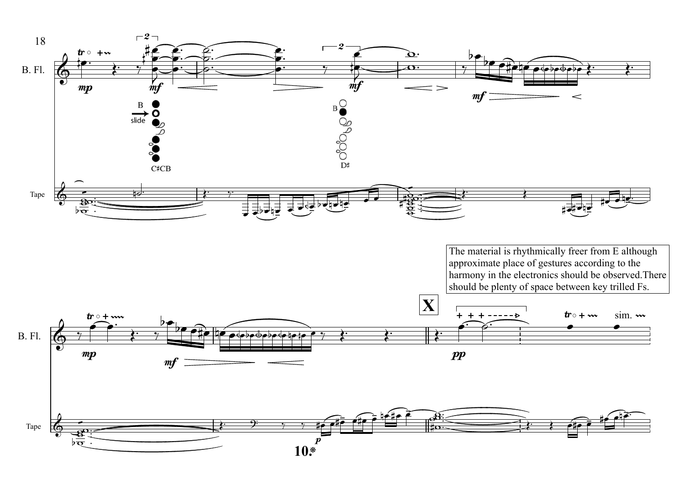